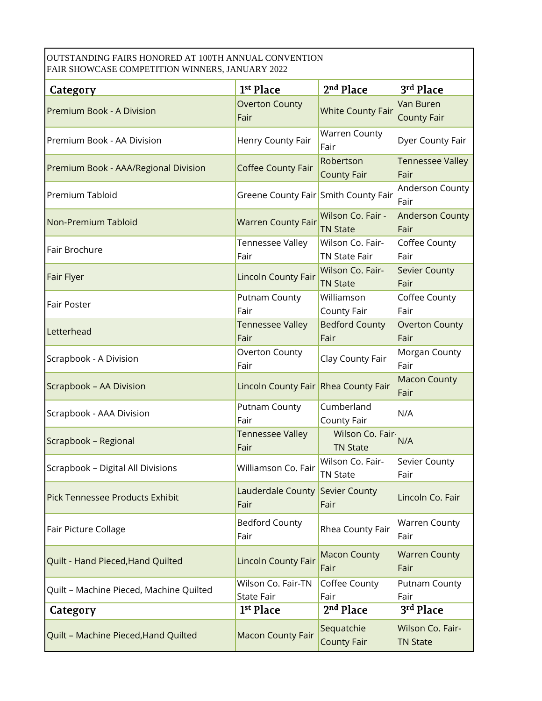OUTSTANDING FAIRS HONORED AT 100TH ANNUAL CONVENTION FAIR SHOWCASE COMPETITION WINNERS, JANUARY 2022

| <b>Category</b>                         | 1 <sup>st</sup> Place                   | 2 <sup>nd</sup> Place                    | 3rd Place                           |
|-----------------------------------------|-----------------------------------------|------------------------------------------|-------------------------------------|
| Premium Book - A Division               | <b>Overton County</b><br>Fair           | <b>White County Fair</b>                 | Van Buren<br><b>County Fair</b>     |
| Premium Book - AA Division              | Henry County Fair                       | Warren County<br>Fair                    | Dyer County Fair                    |
| Premium Book - AAA/Regional Division    | <b>Coffee County Fair</b>               | Robertson<br><b>County Fair</b>          | <b>Tennessee Valley</b><br>Fair     |
| Premium Tabloid                         | Greene County Fair Smith County Fair    |                                          | Anderson County<br>Fair             |
| Non-Premium Tabloid                     | <b>Warren County Fair</b>               | Wilson Co. Fair -<br><b>TN State</b>     | <b>Anderson County</b><br>Fair      |
| Fair Brochure                           | <b>Tennessee Valley</b><br>Fair         | Wilson Co. Fair-<br><b>TN State Fair</b> | Coffee County<br>Fair               |
| Fair Flyer                              | <b>Lincoln County Fair</b>              | Wilson Co. Fair-<br><b>TN State</b>      | <b>Sevier County</b><br>Fair        |
| <b>Fair Poster</b>                      | Putnam County<br>Fair                   | Williamson<br>County Fair                | Coffee County<br>Fair               |
| Letterhead                              | <b>Tennessee Valley</b><br>Fair         | <b>Bedford County</b><br>Fair            | <b>Overton County</b><br>Fair       |
| Scrapbook - A Division                  | Overton County<br>Fair                  | Clay County Fair                         | Morgan County<br>Fair               |
| Scrapbook - AA Division                 | Lincoln County Fair Rhea County Fair    |                                          | <b>Macon County</b><br>Fair         |
| Scrapbook - AAA Division                | Putnam County<br>Fair                   | Cumberland<br>County Fair                | N/A                                 |
| Scrapbook - Regional                    | <b>Tennessee Valley</b><br>Fair         | Wilson Co. Fair-<br><b>TN State</b>      | N/A                                 |
| Scrapbook - Digital All Divisions       | Williamson Co. Fair                     | Wilson Co. Fair-<br>TN State             | Sevier County<br>Fair               |
| Pick Tennessee Products Exhibit         | Lauderdale County Sevier County<br>Fair | Fair                                     | Lincoln Co. Fair                    |
| Fair Picture Collage                    | <b>Bedford County</b><br>Fair           | Rhea County Fair                         | <b>Warren County</b><br>Fair        |
| Quilt - Hand Pieced, Hand Quilted       | <b>Lincoln County Fair</b>              | <b>Macon County</b><br>Fair              | <b>Warren County</b><br>Fair        |
| Quilt - Machine Pieced, Machine Quilted | Wilson Co. Fair-TN<br><b>State Fair</b> | Coffee County<br>Fair                    | Putnam County<br>Fair               |
| Category                                | 1 <sup>st</sup> Place                   | 2 <sup>nd</sup> Place                    | 3rd Place                           |
| Quilt - Machine Pieced, Hand Quilted    | <b>Macon County Fair</b>                | Sequatchie<br><b>County Fair</b>         | Wilson Co. Fair-<br><b>TN State</b> |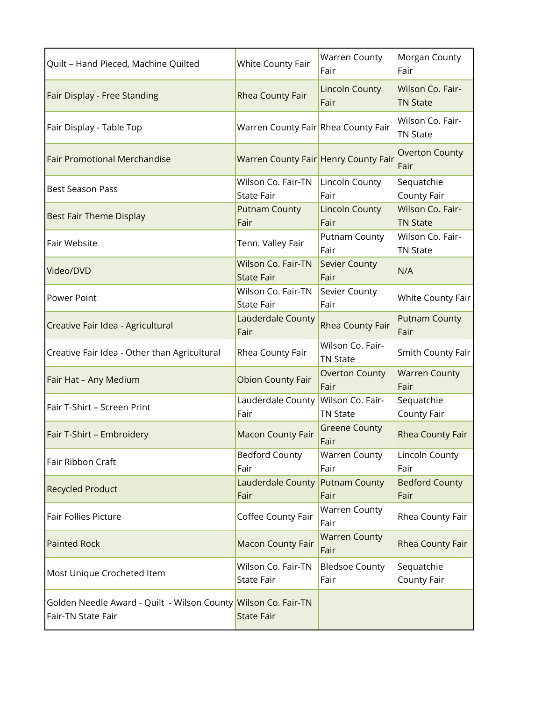| Quilt - Hand Pieced, Machine Quilted                                                 | White County Fair                              | <b>Warren County</b><br>Fair        | Morgan County<br>Fair               |
|--------------------------------------------------------------------------------------|------------------------------------------------|-------------------------------------|-------------------------------------|
| Fair Display - Free Standing                                                         | Rhea County Fair                               | <b>Lincoln County</b><br>Fair       | Wilson Co. Fair-<br><b>TN State</b> |
| Fair Display - Table Top                                                             | Warren County Fair Rhea County Fair            |                                     | Wilson Co. Fair-<br>TN State        |
| <b>Fair Promotional Merchandise</b>                                                  | Warren County Fair Henry County Fair           |                                     | <b>Overton County</b><br>Fair       |
| <b>Best Season Pass</b>                                                              | Wilson Co. Fair-TN<br><b>State Fair</b>        | Lincoln County<br>Fair              | Sequatchie<br>County Fair           |
| <b>Best Fair Theme Display</b>                                                       | <b>Putnam County</b><br>Fair                   | <b>Lincoln County</b><br>Fair       | Wilson Co. Fair-<br><b>TN State</b> |
| <b>Fair Website</b>                                                                  | Tenn. Valley Fair                              | Putnam County<br>Fair               | Wilson Co. Fair-<br><b>TN State</b> |
| Video/DVD                                                                            | <b>Wilson Co. Fair-TN</b><br><b>State Fair</b> | Sevier County<br>Fair               | N/A                                 |
| <b>Power Point</b>                                                                   | Wilson Co. Fair-TN<br><b>State Fair</b>        | Sevier County<br>Fair               | White County Fair                   |
| Creative Fair Idea - Agricultural                                                    | <b>Lauderdale County</b><br>Fair               | Rhea County Fair                    | <b>Putnam County</b><br>Fair        |
| Creative Fair Idea - Other than Agricultural                                         | Rhea County Fair                               | Wilson Co. Fair-<br><b>TN State</b> | Smith County Fair                   |
| Fair Hat - Any Medium                                                                | <b>Obion County Fair</b>                       | <b>Overton County</b><br>Fair       | <b>Warren County</b><br>Fair        |
| Fair T-Shirt - Screen Print                                                          | Lauderdale County Wilson Co. Fair-<br>Fair     | <b>TN State</b>                     | Sequatchie<br>County Fair           |
| Fair T-Shirt - Embroidery                                                            | <b>Macon County Fair</b>                       | <b>Greene County</b><br>Fair        | Rhea County Fair                    |
| Fair Ribbon Craft                                                                    | <b>Bedford County</b><br>Fair                  | <b>Warren County</b><br>Fair        | Lincoln County<br>Fair              |
| <b>Recycled Product</b>                                                              | Lauderdale County Putnam County<br>Fair        | Fair                                | <b>Bedford County</b><br>Fair       |
| Fair Follies Picture                                                                 | Coffee County Fair                             | <b>Warren County</b><br>Fair        | Rhea County Fair                    |
| <b>Painted Rock</b>                                                                  | <b>Macon County Fair</b>                       | <b>Warren County</b><br>Fair        | Rhea County Fair                    |
| Most Unique Crocheted Item                                                           | Wilson Co. Fair-TN<br><b>State Fair</b>        | <b>Bledsoe County</b><br>Fair       | Sequatchie<br>County Fair           |
| Golden Needle Award - Quilt - Wilson County Wilson Co. Fair-TN<br>Fair-TN State Fair | <b>State Fair</b>                              |                                     |                                     |